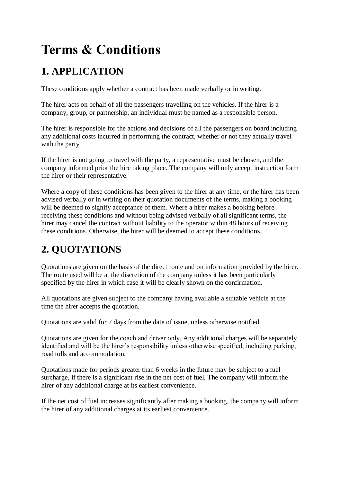# **Terms & Conditions**

# **1. APPLICATION**

These conditions apply whether a contract has been made verbally or in writing.

The hirer acts on behalf of all the passengers travelling on the vehicles. If the hirer is a company, group, or partnership, an individual must be named as a responsible person.

The hirer is responsible for the actions and decisions of all the passengers on board including any additional costs incurred in performing the contract, whether or not they actually travel with the party.

If the hirer is not going to travel with the party, a representative must be chosen, and the company informed prior the hire taking place. The company will only accept instruction form the hirer or their representative.

Where a copy of these conditions has been given to the hirer at any time, or the hirer has been advised verbally or in writing on their quotation documents of the terms, making a booking will be deemed to signify acceptance of them. Where a hirer makes a booking before receiving these conditions and without being advised verbally of all significant terms, the hirer may cancel the contract without liability to the operator within 48 hours of receiving these conditions. Otherwise, the hirer will be deemed to accept these conditions.

# **2. QUOTATIONS**

Quotations are given on the basis of the direct route and on information provided by the hirer. The route used will be at the discretion of the company unless it has been particularly specified by the hirer in which case it will be clearly shown on the confirmation.

All quotations are given subject to the company having available a suitable vehicle at the time the hirer accepts the quotation.

Quotations are valid for 7 days from the date of issue, unless otherwise notified.

Quotations are given for the coach and driver only. Any additional charges will be separately identified and will be the hirer's responsibility unless otherwise specified, including parking, road tolls and accommodation.

Quotations made for periods greater than 6 weeks in the future may be subject to a fuel surcharge, if there is a significant rise in the net cost of fuel. The company will inform the hirer of any additional charge at its earliest convenience.

If the net cost of fuel increases significantly after making a booking, the company will inform the hirer of any additional charges at its earliest convenience.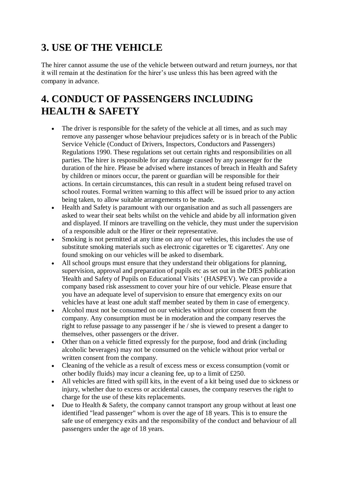# **3. USE OF THE VEHICLE**

The hirer cannot assume the use of the vehicle between outward and return journeys, nor that it will remain at the destination for the hirer's use unless this has been agreed with the company in advance.

# **4. CONDUCT OF PASSENGERS INCLUDING HEALTH & SAFETY**

- The driver is responsible for the safety of the vehicle at all times, and as such may remove any passenger whose behaviour prejudices safety or is in breach of the Public Service Vehicle (Conduct of Drivers, Inspectors, Conductors and Passengers) Regulations 1990. These regulations set out certain rights and responsibilities on all parties. The hirer is responsible for any damage caused by any passenger for the duration of the hire. Please be advised where instances of breach in Health and Safety by children or minors occur, the parent or guardian will be responsible for their actions. In certain circumstances, this can result in a student being refused travel on school routes. Formal written warning to this affect will be issued prior to any action being taken, to allow suitable arrangements to be made.
- Health and Safety is paramount with our organisation and as such all passengers are asked to wear their seat belts whilst on the vehicle and abide by all information given and displayed. If minors are travelling on the vehicle, they must under the supervision of a responsible adult or the Hirer or their representative.
- Smoking is not permitted at any time on any of our vehicles, this includes the use of substitute smoking materials such as electronic cigarettes or 'E cigarettes'. Any one found smoking on our vehicles will be asked to disembark.
- All school groups must ensure that they understand their obligations for planning, supervision, approval and preparation of pupils etc as set out in the DfES publication 'Health and Safety of Pupils on Educational Visits ' (HASPEV). We can provide a company based risk assessment to cover your hire of our vehicle. Please ensure that you have an adequate level of supervision to ensure that emergency exits on our vehicles have at least one adult staff member seated by them in case of emergency.
- Alcohol must not be consumed on our vehicles without prior consent from the company. Any consumption must be in moderation and the company reserves the right to refuse passage to any passenger if he / she is viewed to present a danger to themselves, other passengers or the driver.
- Other than on a vehicle fitted expressly for the purpose, food and drink (including alcoholic beverages) may not be consumed on the vehicle without prior verbal or written consent from the company.
- Cleaning of the vehicle as a result of excess mess or excess consumption (vomit or other bodily fluids) may incur a cleaning fee, up to a limit of £250.
- All vehicles are fitted with spill kits, in the event of a kit being used due to sickness or injury, whether due to excess or accidental causes, the company reserves the right to charge for the use of these kits replacements.
- $\bullet$  Due to Health & Safety, the company cannot transport any group without at least one identified "lead passenger" whom is over the age of 18 years. This is to ensure the safe use of emergency exits and the responsibility of the conduct and behaviour of all passengers under the age of 18 years.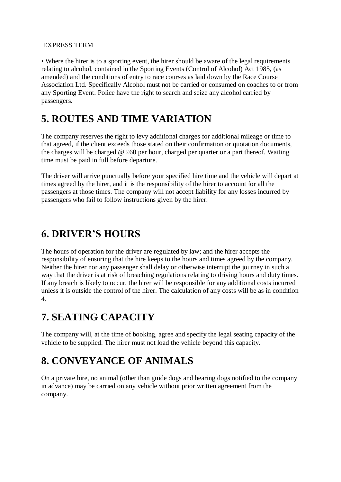#### EXPRESS TERM

• Where the hirer is to a sporting event, the hirer should be aware of the legal requirements relating to alcohol, contained in the Sporting Events (Control of Alcohol) Act 1985, (as amended) and the conditions of entry to race courses as laid down by the Race Course Association Ltd. Specifically Alcohol must not be carried or consumed on coaches to or from any Sporting Event. Police have the right to search and seize any alcohol carried by passengers.

#### **5. ROUTES AND TIME VARIATION**

The company reserves the right to levy additional charges for additional mileage or time to that agreed, if the client exceeds those stated on their confirmation or quotation documents, the charges will be charged  $@$  £60 per hour, charged per quarter or a part thereof. Waiting time must be paid in full before departure.

The driver will arrive punctually before your specified hire time and the vehicle will depart at times agreed by the hirer, and it is the responsibility of the hirer to account for all the passengers at those times. The company will not accept liability for any losses incurred by passengers who fail to follow instructions given by the hirer.

#### **6. DRIVER'S HOURS**

The hours of operation for the driver are regulated by law; and the hirer accepts the responsibility of ensuring that the hire keeps to the hours and times agreed by the company. Neither the hirer nor any passenger shall delay or otherwise interrupt the journey in such a way that the driver is at risk of breaching regulations relating to driving hours and duty times. If any breach is likely to occur, the hirer will be responsible for any additional costs incurred unless it is outside the control of the hirer. The calculation of any costs will be as in condition 4.

# **7. SEATING CAPACITY**

The company will, at the time of booking, agree and specify the legal seating capacity of the vehicle to be supplied. The hirer must not load the vehicle beyond this capacity.

# **8. CONVEYANCE OF ANIMALS**

On a private hire, no animal (other than guide dogs and hearing dogs notified to the company in advance) may be carried on any vehicle without prior written agreement from the company.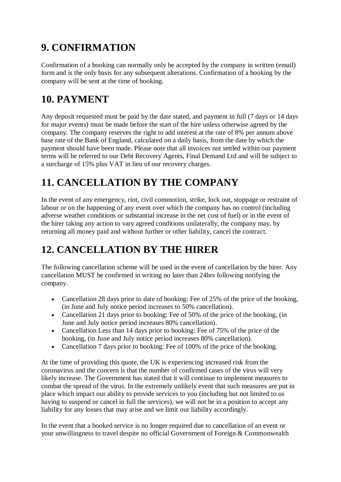# **9. CONFIRMATION**

Confirmation of a booking can normally only be accepted by the company in written (email) form and is the only basis for any subsequent alterations. Confirmation of a booking by the company will be sent at the time of booking.

# **10. PAYMENT**

Any deposit requested must be paid by the date stated, and payment in full (7 days or 14 days for major events) must be made before the start of the hire unless otherwise agreed by the company. The company reserves the right to add interest at the rate of 8% per annum above base rate of the Bank of England, calculated on a daily basis, from the date by which the payment should have been made. Please note that all invoices not settled within our payment terms will be referred to our Debt Recovery Agents, Final Demand Ltd and will be subject to a surcharge of 15% plus VAT in lieu of our recovery charges.

# **11. CANCELLATION BY THE COMPANY**

In the event of any emergency, riot, civil commotion, strike, lock out, stoppage or restraint of labour or on the happening of any event over which the company has no control (including adverse weather conditions or substantial increase in the net cost of fuel) or in the event of the hirer taking any action to vary agreed conditions unilaterally, the company may, by returning all money paid and without further or other liability, cancel the contract.

# **12. CANCELLATION BY THE HIRER**

The following cancellation scheme will be used in the event of cancellation by the hirer. Any cancellation MUST be confirmed in writing no later than 24hrs following notifying the company.

- Cancellation 28 days prior to date of booking: Fee of 25% of the price of the booking, (in June and July notice period increases to 50% cancellation).
- Cancellation 21 days prior to booking: Fee of 50% of the price of the booking, (in June and July notice period increases 80% cancellation).
- Cancellation Less than 14 days prior to booking: Fee of 75% of the price of the booking, (in June and July notice period increases 80% cancellation).
- Cancellation 7 days prior to booking: Fee of 100% of the price of the booking.

At the time of providing this quote, the UK is experiencing increased risk from the coronavirus and the concern is that the number of confirmed cases of the virus will very likely increase. The Government has stated that it will continue to implement measures to combat the spread of the virus. In the extremely unlikely event that such measures are put in place which impact our ability to provide services to you (including but not limited to us having to suspend or cancel in full the services), we will not be in a position to accept any liability for any losses that may arise and we limit our liability accordingly.

In the event that a booked service is no longer required due to cancellation of an event or your unwillingness to travel despite no official Government of Foreign & Commonwealth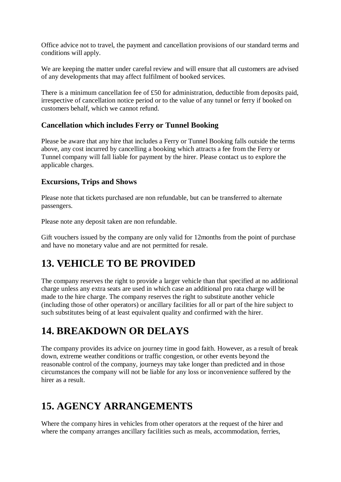Office advice not to travel, the payment and cancellation provisions of our standard terms and conditions will apply.

We are keeping the matter under careful review and will ensure that all customers are advised of any developments that may affect fulfilment of booked services.

There is a minimum cancellation fee of £50 for administration, deductible from deposits paid, irrespective of cancellation notice period or to the value of any tunnel or ferry if booked on customers behalf, which we cannot refund.

#### **Cancellation which includes Ferry or Tunnel Booking**

Please be aware that any hire that includes a Ferry or Tunnel Booking falls outside the terms above, any cost incurred by cancelling a booking which attracts a fee from the Ferry or Tunnel company will fall liable for payment by the hirer. Please contact us to explore the applicable charges.

#### **Excursions, Trips and Shows**

Please note that tickets purchased are non refundable, but can be transferred to alternate passengers.

Please note any deposit taken are non refundable.

Gift vouchers issued by the company are only valid for 12months from the point of purchase and have no monetary value and are not permitted for resale.

# **13. VEHICLE TO BE PROVIDED**

The company reserves the right to provide a larger vehicle than that specified at no additional charge unless any extra seats are used in which case an additional pro rata charge will be made to the hire charge. The company reserves the right to substitute another vehicle (including those of other operators) or ancillary facilities for all or part of the hire subject to such substitutes being of at least equivalent quality and confirmed with the hirer.

#### **14. BREAKDOWN OR DELAYS**

The company provides its advice on journey time in good faith. However, as a result of break down, extreme weather conditions or traffic congestion, or other events beyond the reasonable control of the company, journeys may take longer than predicted and in those circumstances the company will not be liable for any loss or inconvenience suffered by the hirer as a result.

#### **15. AGENCY ARRANGEMENTS**

Where the company hires in vehicles from other operators at the request of the hirer and where the company arranges ancillary facilities such as meals, accommodation, ferries,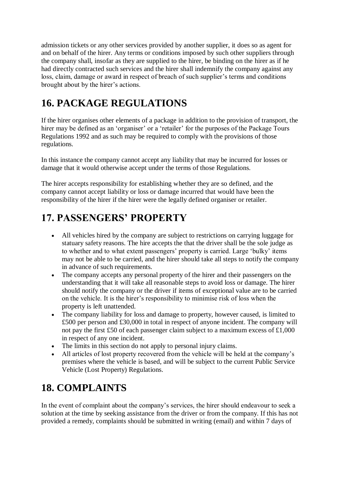admission tickets or any other services provided by another supplier, it does so as agent for and on behalf of the hirer. Any terms or conditions imposed by such other suppliers through the company shall, insofar as they are supplied to the hirer, be binding on the hirer as if he had directly contracted such services and the hirer shall indemnify the company against any loss, claim, damage or award in respect of breach of such supplier's terms and conditions brought about by the hirer's actions.

# **16. PACKAGE REGULATIONS**

If the hirer organises other elements of a package in addition to the provision of transport, the hirer may be defined as an 'organiser' or a 'retailer' for the purposes of the Package Tours Regulations 1992 and as such may be required to comply with the provisions of those regulations.

In this instance the company cannot accept any liability that may be incurred for losses or damage that it would otherwise accept under the terms of those Regulations.

The hirer accepts responsibility for establishing whether they are so defined, and the company cannot accept liability or loss or damage incurred that would have been the responsibility of the hirer if the hirer were the legally defined organiser or retailer.

# **17. PASSENGERS' PROPERTY**

- All vehicles hired by the company are subject to restrictions on carrying luggage for statuary safety reasons. The hire accepts the that the driver shall be the sole judge as to whether and to what extent passengers' property is carried. Large 'bulky' items may not be able to be carried, and the hirer should take all steps to notify the company in advance of such requirements.
- The company accepts any personal property of the hirer and their passengers on the understanding that it will take all reasonable steps to avoid loss or damage. The hirer should notify the company or the driver if items of exceptional value are to be carried on the vehicle. It is the hirer's responsibility to minimise risk of loss when the property is left unattended.
- The company liability for loss and damage to property, however caused, is limited to £500 per person and £30,000 in total in respect of anyone incident. The company will not pay the first £50 of each passenger claim subject to a maximum excess of £1,000 in respect of any one incident.
- The limits in this section do not apply to personal injury claims.
- All articles of lost property recovered from the vehicle will be held at the company's premises where the vehicle is based, and will be subject to the current Public Service Vehicle (Lost Property) Regulations.

# **18. COMPLAINTS**

In the event of complaint about the company's services, the hirer should endeavour to seek a solution at the time by seeking assistance from the driver or from the company. If this has not provided a remedy, complaints should be submitted in writing (email) and within 7 days of